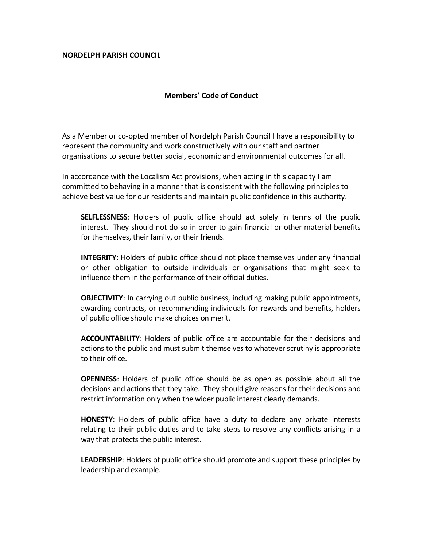## **NORDELPH PARISH COUNCIL**

## **Members' Code of Conduct**

As a Member or co-opted member of Nordelph Parish Council I have a responsibility to represent the community and work constructively with our staff and partner organisations to secure better social, economic and environmental outcomes for all.

In accordance with the Localism Act provisions, when acting in this capacity I am committed to behaving in a manner that is consistent with the following principles to achieve best value for our residents and maintain public confidence in this authority.

**SELFLESSNESS**: Holders of public office should act solely in terms of the public interest. They should not do so in order to gain financial or other material benefits for themselves, their family, or their friends.

**INTEGRITY**: Holders of public office should not place themselves under any financial or other obligation to outside individuals or organisations that might seek to influence them in the performance of their official duties.

**OBJECTIVITY:** In carrying out public business, including making public appointments, awarding contracts, or recommending individuals for rewards and benefits, holders of public office should make choices on merit.

**ACCOUNTABILITY**: Holders of public office are accountable for their decisions and actions to the public and must submit themselves to whatever scrutiny is appropriate to their office.

**OPENNESS**: Holders of public office should be as open as possible about all the decisions and actions that they take. They should give reasons for their decisions and restrict information only when the wider public interest clearly demands.

**HONESTY**: Holders of public office have a duty to declare any private interests relating to their public duties and to take steps to resolve any conflicts arising in a way that protects the public interest.

**LEADERSHIP**: Holders of public office should promote and support these principles by leadership and example.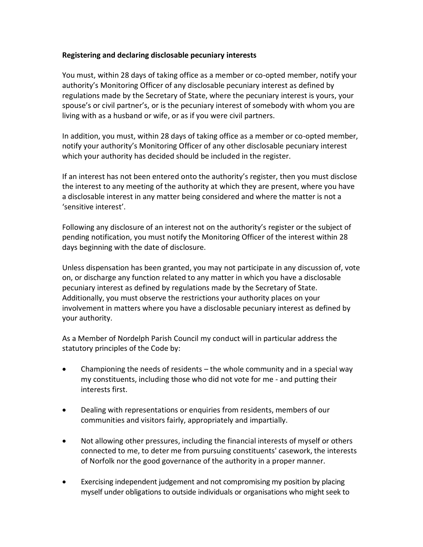## **Registering and declaring disclosable pecuniary interests**

You must, within 28 days of taking office as a member or co-opted member, notify your authority's Monitoring Officer of any disclosable pecuniary interest as defined by regulations made by the Secretary of State, where the pecuniary interest is yours, your spouse's or civil partner's, or is the pecuniary interest of somebody with whom you are living with as a husband or wife, or as if you were civil partners.

In addition, you must, within 28 days of taking office as a member or co-opted member, notify your authority's Monitoring Officer of any other disclosable pecuniary interest which your authority has decided should be included in the register.

If an interest has not been entered onto the authority's register, then you must disclose the interest to any meeting of the authority at which they are present, where you have a disclosable interest in any matter being considered and where the matter is not a 'sensitive interest'.

Following any disclosure of an interest not on the authority's register or the subject of pending notification, you must notify the Monitoring Officer of the interest within 28 days beginning with the date of disclosure.

Unless dispensation has been granted, you may not participate in any discussion of, vote on, or discharge any function related to any matter in which you have a disclosable pecuniary interest as defined by regulations made by the Secretary of State. Additionally, you must observe the restrictions your authority places on your involvement in matters where you have a disclosable pecuniary interest as defined by your authority.

As a Member of Nordelph Parish Council my conduct will in particular address the statutory principles of the Code by:

- Championing the needs of residents the whole community and in a special way my constituents, including those who did not vote for me - and putting their interests first.
- Dealing with representations or enquiries from residents, members of our communities and visitors fairly, appropriately and impartially.
- Not allowing other pressures, including the financial interests of myself or others connected to me, to deter me from pursuing constituents' casework, the interests of Norfolk nor the good governance of the authority in a proper manner.
- Exercising independent judgement and not compromising my position by placing myself under obligations to outside individuals or organisations who might seek to